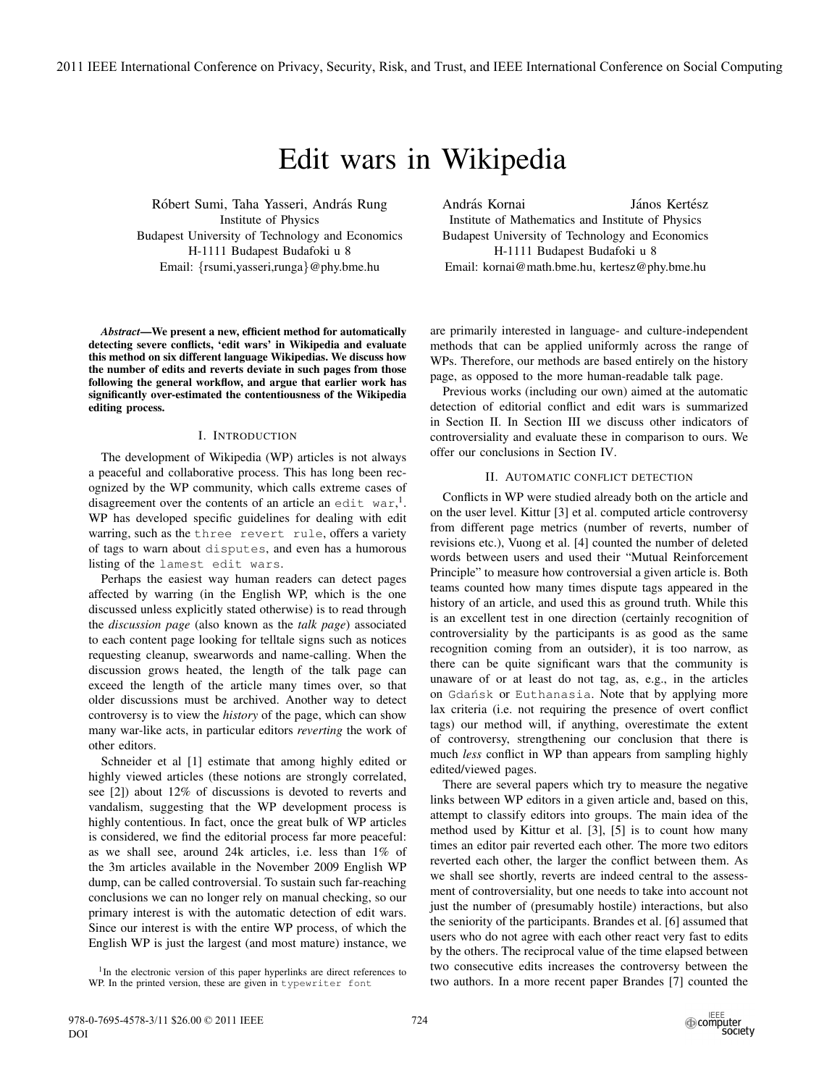# Edit wars in Wikipedia

Róbert Sumi, Taha Yasseri, András Rung Institute of Physics Budapest University of Technology and Economics H-1111 Budapest Budafoki u 8 Email: {rsumi,yasseri,runga}@phy.bme.hu

*Abstract*—We present a new, efficient method for automatically detecting severe conflicts, 'edit wars' in Wikipedia and evaluate this method on six different language Wikipedias. We discuss how the number of edits and reverts deviate in such pages from those following the general workflow, and argue that earlier work has significantly over-estimated the contentiousness of the Wikipedia editing process.

## I. INTRODUCTION

The development of Wikipedia (WP) articles is not always a peaceful and collaborative process. This has long been recognized by the WP community, which calls extreme cases of disagreement over the contents of an article an edit war,<sup>1</sup>. WP has developed specific guidelines for dealing with edit warring, such as the three revert rule, offers a variety of tags to warn about disputes, and even has a humorous listing of the lamest edit wars.

Perhaps the easiest way human readers can detect pages affected by warring (in the English WP, which is the one discussed unless explicitly stated otherwise) is to read through the *discussion page* (also known as the *talk page*) associated to each content page looking for telltale signs such as notices requesting cleanup, swearwords and name-calling. When the discussion grows heated, the length of the talk page can exceed the length of the article many times over, so that older discussions must be archived. Another way to detect controversy is to view the *history* of the page, which can show many war-like acts, in particular editors *reverting* the work of other editors.

Schneider et al [1] estimate that among highly edited or highly viewed articles (these notions are strongly correlated, see [2]) about 12% of discussions is devoted to reverts and vandalism, suggesting that the WP development process is highly contentious. In fact, once the great bulk of WP articles is considered, we find the editorial process far more peaceful: as we shall see, around 24k articles, i.e. less than 1% of the 3m articles available in the November 2009 English WP dump, can be called controversial. To sustain such far-reaching conclusions we can no longer rely on manual checking, so our primary interest is with the automatic detection of edit wars. Since our interest is with the entire WP process, of which the English WP is just the largest (and most mature) instance, we András Kornai **János Kertész** Institute of Mathematics and Institute of Physics Budapest University of Technology and Economics H-1111 Budapest Budafoki u 8 Email: kornai@math.bme.hu, kertesz@phy.bme.hu

are primarily interested in language- and culture-independent methods that can be applied uniformly across the range of WPs. Therefore, our methods are based entirely on the history page, as opposed to the more human-readable talk page.

Previous works (including our own) aimed at the automatic detection of editorial conflict and edit wars is summarized in Section II. In Section III we discuss other indicators of controversiality and evaluate these in comparison to ours. We offer our conclusions in Section IV.

## II. AUTOMATIC CONFLICT DETECTION

Conflicts in WP were studied already both on the article and on the user level. Kittur [3] et al. computed article controversy from different page metrics (number of reverts, number of revisions etc.), Vuong et al. [4] counted the number of deleted words between users and used their "Mutual Reinforcement Principle" to measure how controversial a given article is. Both teams counted how many times dispute tags appeared in the history of an article, and used this as ground truth. While this is an excellent test in one direction (certainly recognition of controversiality by the participants is as good as the same recognition coming from an outsider), it is too narrow, as there can be quite significant wars that the community is unaware of or at least do not tag, as, e.g., in the articles on Gdańsk or Euthanasia. Note that by applying more lax criteria (i.e. not requiring the presence of overt conflict tags) our method will, if anything, overestimate the extent of controversy, strengthening our conclusion that there is much *less* conflict in WP than appears from sampling highly edited/viewed pages.

There are several papers which try to measure the negative links between WP editors in a given article and, based on this, attempt to classify editors into groups. The main idea of the method used by Kittur et al. [3], [5] is to count how many times an editor pair reverted each other. The more two editors reverted each other, the larger the conflict between them. As we shall see shortly, reverts are indeed central to the assessment of controversiality, but one needs to take into account not just the number of (presumably hostile) interactions, but also the seniority of the participants. Brandes et al. [6] assumed that users who do not agree with each other react very fast to edits by the others. The reciprocal value of the time elapsed between two consecutive edits increases the controversy between the two authors. In a more recent paper Brandes [7] counted the

<sup>&</sup>lt;sup>1</sup>In the electronic version of this paper hyperlinks are direct references to WP. In the printed version, these are given in typewriter font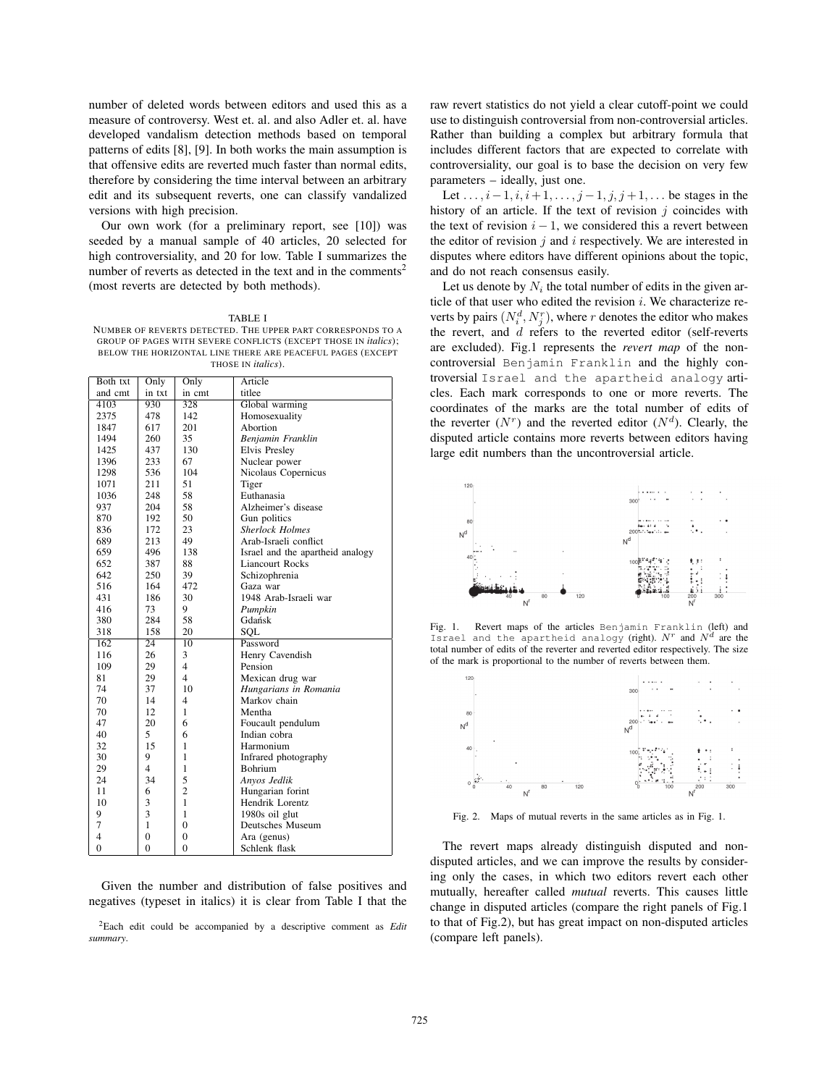number of deleted words between editors and used this as a measure of controversy. West et. al. and also Adler et. al. have developed vandalism detection methods based on temporal patterns of edits [8], [9]. In both works the main assumption is that offensive edits are reverted much faster than normal edits, therefore by considering the time interval between an arbitrary edit and its subsequent reverts, one can classify vandalized versions with high precision.

Our own work (for a preliminary report, see [10]) was seeded by a manual sample of 40 articles, 20 selected for high controversiality, and 20 for low. Table I summarizes the number of reverts as detected in the text and in the comments<sup>2</sup> (most reverts are detected by both methods).

TABLE I NUMBER OF REVERTS DETECTED. THE UPPER PART CORRESPONDS TO A GROUP OF PAGES WITH SEVERE CONFLICTS (EXCEPT THOSE IN *italics*); BELOW THE HORIZONTAL LINE THERE ARE PEACEFUL PAGES (EXCEPT THOSE IN *italics*).

| Both txt       | Only           | Only            | Article                          |
|----------------|----------------|-----------------|----------------------------------|
| and cmt        | in txt         | in cmt          | titlee                           |
| 4103           | 930            | 328             | Global warming                   |
| 2375           | 478            | 142             | Homosexuality                    |
| 1847           | 617            | 201             | Abortion                         |
| 1494           | 260            | 35              | Benjamin Franklin                |
| 1425           | 437            | 130             | Elvis Presley                    |
| 1396           | 233            | 67              | Nuclear power                    |
| 1298           | 536            | 104             | Nicolaus Copernicus              |
| 1071           | 211            | 51              | Tiger                            |
| 1036           | 248            | 58              | Euthanasia                       |
| 937            | 204            | 58              | Alzheimer's disease              |
| 870            | 192            | 50              | Gun politics                     |
| 836            | 172            | 23              | <b>Sherlock Holmes</b>           |
| 689            | 213            | 49              | Arab-Israeli conflict            |
| 659            | 496            | 138             | Israel and the apartheid analogy |
| 652            | 387            | 88              | <b>Liancourt Rocks</b>           |
| 642            | 250            | 39              | Schizophrenia                    |
| 516            | 164            | 472             | Gaza war                         |
| 431            | 186            | 30              | 1948 Arab-Israeli war            |
| 416            | 73             | 9               | Pumpkin                          |
| 380            | 284            | 58              | Gdańsk                           |
| 318            | 158            | 20              | SOL                              |
| 162            | 24             | $\overline{10}$ | Password                         |
| 116            | 26             | 3               | Henry Cavendish                  |
| 109            | 29             | $\overline{4}$  | Pension                          |
| 81             | 29             | $\overline{4}$  | Mexican drug war                 |
| 74             | 37             | 10              | Hungarians in Romania            |
| 70             | 14             | $\overline{4}$  | Markov chain                     |
| 70             | 12             | $\mathbf{1}$    | Mentha                           |
| 47             | 20             | 6               | Foucault pendulum                |
| 40             | 5              | 6               | Indian cobra                     |
| 32             | 15             | $\mathbf{1}$    | Harmonium                        |
| 30             | 9              | $\mathbf{1}$    | Infrared photography             |
| 29             | $\overline{4}$ | $\mathbf{1}$    | <b>Bohrium</b>                   |
| 24             | 34             | 5               | Anyos Jedlik                     |
| 11             | 6              | $\overline{2}$  | Hungarian forint                 |
| 10             | 3              | $\mathbf{1}$    | Hendrik Lorentz                  |
| 9              | 3              | $\mathbf{1}$    | 1980s oil glut                   |
| 7              | 1              | $\theta$        | Deutsches Museum                 |
| 4              | $\overline{0}$ | $\overline{0}$  | Ara (genus)                      |
| $\overline{0}$ | $\theta$       | $\theta$        | Schlenk flask                    |

Given the number and distribution of false positives and negatives (typeset in italics) it is clear from Table I that the

2Each edit could be accompanied by a descriptive comment as *Edit summary*.

raw revert statistics do not yield a clear cutoff-point we could use to distinguish controversial from non-controversial articles. Rather than building a complex but arbitrary formula that includes different factors that are expected to correlate with controversiality, our goal is to base the decision on very few parameters – ideally, just one.

Let  $\dots, i-1, i, i+1, \dots, j-1, j, j+1, \dots$  be stages in the history of an article. If the text of revision  $j$  coincides with the text of revision  $i - 1$ , we considered this a revert between the editor of revision  $j$  and  $i$  respectively. We are interested in disputes where editors have different opinions about the topic, and do not reach consensus easily.

Let us denote by  $N_i$  the total number of edits in the given article of that user who edited the revision  $i$ . We characterize reverts by pairs  $(N_i^d, N_i^r)$ , where r denotes the editor who makes the revert, and d refers to the reverted editor (self-reverts are excluded). Fig.1 represents the *revert map* of the noncontroversial Benjamin Franklin and the highly controversial Israel and the apartheid analogy articles. Each mark corresponds to one or more reverts. The coordinates of the marks are the total number of edits of the reverter  $(N<sup>r</sup>)$  and the reverted editor  $(N<sup>d</sup>)$ . Clearly, the disputed article contains more reverts between editors having large edit numbers than the uncontroversial article.







Fig. 2. Maps of mutual reverts in the same articles as in Fig. 1.

The revert maps already distinguish disputed and nondisputed articles, and we can improve the results by considering only the cases, in which two editors revert each other mutually, hereafter called *mutual* reverts. This causes little change in disputed articles (compare the right panels of Fig.1 to that of Fig.2), but has great impact on non-disputed articles (compare left panels).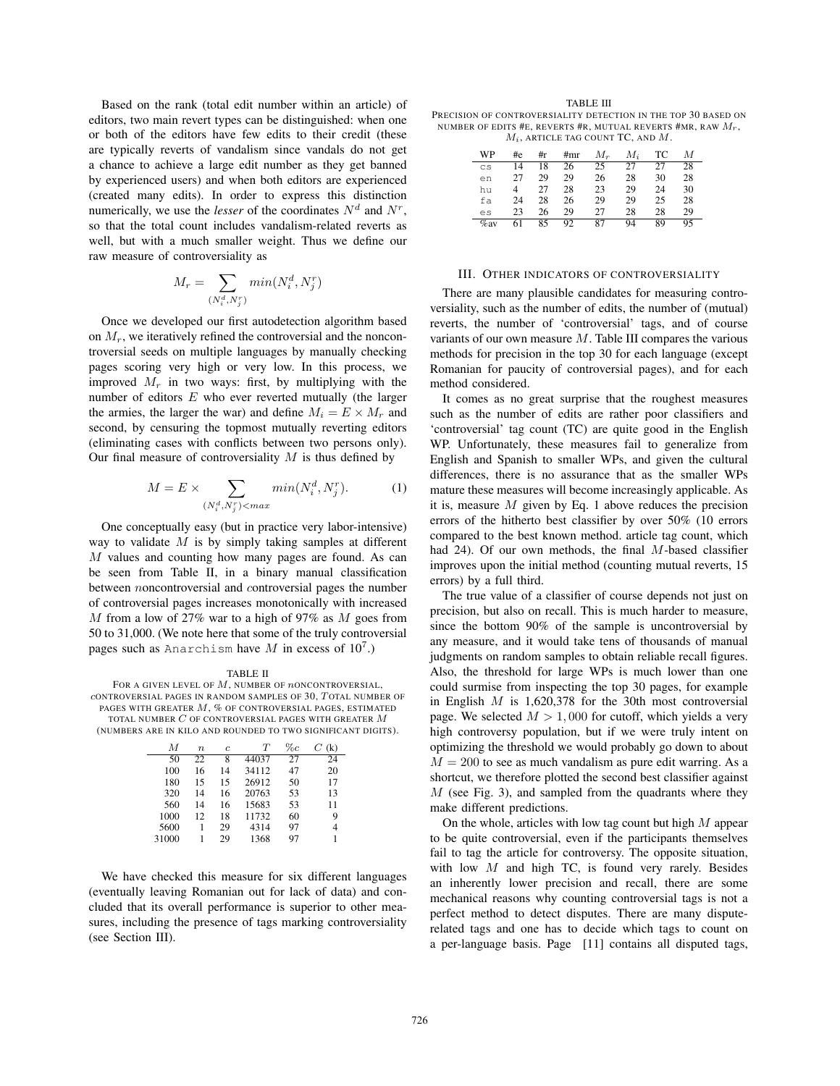Based on the rank (total edit number within an article) of editors, two main revert types can be distinguished: when one or both of the editors have few edits to their credit (these are typically reverts of vandalism since vandals do not get a chance to achieve a large edit number as they get banned by experienced users) and when both editors are experienced (created many edits). In order to express this distinction numerically, we use the *lesser* of the coordinates  $N<sup>d</sup>$  and  $N<sup>r</sup>$ . so that the total count includes vandalism-related reverts as well, but with a much smaller weight. Thus we define our raw measure of controversiality as

$$
M_r = \sum_{(N_i^d, N_j^r)} min(N_i^d, N_j^r)
$$

Once we developed our first autodetection algorithm based on  $M_r$ , we iteratively refined the controversial and the noncontroversial seeds on multiple languages by manually checking pages scoring very high or very low. In this process, we improved  $M_r$  in two ways: first, by multiplying with the number of editors  $E$  who ever reverted mutually (the larger the armies, the larger the war) and define  $M_i = E \times M_r$  and second, by censuring the topmost mutually reverting editors (eliminating cases with conflicts between two persons only). Our final measure of controversiality  $M$  is thus defined by

$$
M = E \times \sum_{(N_i^d, N_j^r) < max} \min(N_i^d, N_j^r). \tag{1}
$$

One conceptually easy (but in practice very labor-intensive) way to validate  $M$  is by simply taking samples at different  $M$  values and counting how many pages are found. As can be seen from Table II, in a binary manual classification between noncontroversial and controversial pages the number of controversial pages increases monotonically with increased M from a low of 27% war to a high of 97% as  $M$  goes from 50 to 31,000. (We note here that some of the truly controversial pages such as Anarchism have M in excess of  $10^7$ .)

TABLE II FOR A GIVEN LEVEL OF  $M$ , NUMBER OF *n*ONCONTROVERSIAL, cONTROVERSIAL PAGES IN RANDOM SAMPLES OF 30, T OTAL NUMBER OF PAGES WITH GREATER M, % OF CONTROVERSIAL PAGES, ESTIMATED TOTAL NUMBER  $C$  OF CONTROVERSIAL PAGES WITH GREATER  $M$ (NUMBERS ARE IN KILO AND ROUNDED TO TWO SIGNIFICANT DIGITS).

| M     | $\boldsymbol{n}$ | Ċ. | T     | $\%c$ | (k)<br>C |
|-------|------------------|----|-------|-------|----------|
| 50    | 22               | 8  | 44037 | 27    | 24       |
| 100   | 16               | 14 | 34112 | 47    | 20       |
| 180   | 15               | 15 | 26912 | 50    | 17       |
| 320   | 14               | 16 | 20763 | 53    | 13       |
| 560   | 14               | 16 | 15683 | 53    | 11       |
| 1000  | 12               | 18 | 11732 | 60    | 9        |
| 5600  | 1                | 29 | 4314  | 97    | 4        |
| 31000 | 1                | 29 | 1368  | 97    |          |

We have checked this measure for six different languages (eventually leaving Romanian out for lack of data) and concluded that its overall performance is superior to other measures, including the presence of tags marking controversiality (see Section III).

TABLE III PRECISION OF CONTROVERSIALITY DETECTION IN THE TOP 30 BASED ON NUMBER OF EDITS #E, REVERTS #R, MUTUAL REVERTS #MR, RAW  $M_r$ ,  $M_i$ , ARTICLE TAG COUNT TC, AND  $M$ .

| WP      | #e | #r | #mr | $M_{\rm \ast}$ | $M_i$ | TС | М  |
|---------|----|----|-----|----------------|-------|----|----|
| CS      | 14 | 18 | 26  | 25             | 27    | 27 | 28 |
| en      | 27 | 29 | 29  | 26             | 28    | 30 | 28 |
| hu      | 4  | 27 | 28  | 23             | 29    | 24 | 30 |
| fa      | 24 | 28 | 26  | 29             | 29    | 25 | 28 |
| es      | 23 | 26 | 29  | 27             | 28    | 28 | 29 |
| $\%$ av | 61 | 85 | 92  | 87             | 94    | 89 | 95 |

#### III. OTHER INDICATORS OF CONTROVERSIALITY

There are many plausible candidates for measuring controversiality, such as the number of edits, the number of (mutual) reverts, the number of 'controversial' tags, and of course variants of our own measure  $M$ . Table III compares the various methods for precision in the top 30 for each language (except Romanian for paucity of controversial pages), and for each method considered.

It comes as no great surprise that the roughest measures such as the number of edits are rather poor classifiers and 'controversial' tag count (TC) are quite good in the English WP. Unfortunately, these measures fail to generalize from English and Spanish to smaller WPs, and given the cultural differences, there is no assurance that as the smaller WPs mature these measures will become increasingly applicable. As it is, measure  $M$  given by Eq. 1 above reduces the precision errors of the hitherto best classifier by over 50% (10 errors compared to the best known method. article tag count, which had 24). Of our own methods, the final M-based classifier improves upon the initial method (counting mutual reverts, 15 errors) by a full third.

The true value of a classifier of course depends not just on precision, but also on recall. This is much harder to measure, since the bottom 90% of the sample is uncontroversial by any measure, and it would take tens of thousands of manual judgments on random samples to obtain reliable recall figures. Also, the threshold for large WPs is much lower than one could surmise from inspecting the top 30 pages, for example in English  $M$  is 1,620,378 for the 30th most controversial page. We selected  $M > 1,000$  for cutoff, which yields a very high controversy population, but if we were truly intent on optimizing the threshold we would probably go down to about  $M = 200$  to see as much vandalism as pure edit warring. As a shortcut, we therefore plotted the second best classifier against  $M$  (see Fig. 3), and sampled from the quadrants where they make different predictions.

On the whole, articles with low tag count but high  $M$  appear to be quite controversial, even if the participants themselves fail to tag the article for controversy. The opposite situation, with low  $M$  and high TC, is found very rarely. Besides an inherently lower precision and recall, there are some mechanical reasons why counting controversial tags is not a perfect method to detect disputes. There are many disputerelated tags and one has to decide which tags to count on a per-language basis. Page [11] contains all disputed tags,